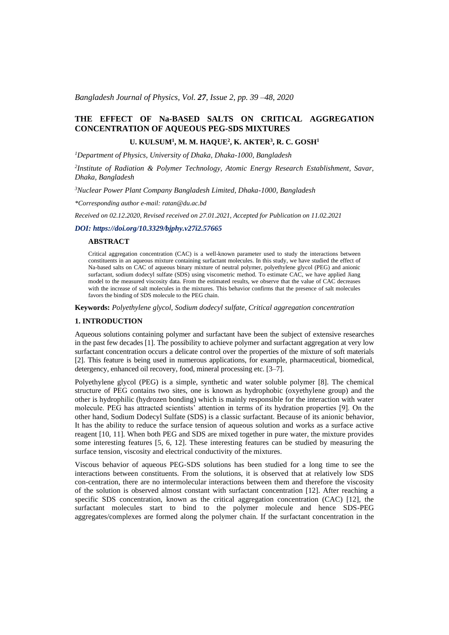*Bangladesh Journal of Physics, Vol. 27, Issue 2, pp. 39 –48, 2020*

# **THE EFFECT OF Na-BASED SALTS ON CRITICAL AGGREGATION CONCENTRATION OF AQUEOUS PEG-SDS MIXTURES**

## **U. KULSUM<sup>1</sup> , M. M. HAQUE<sup>2</sup> , K. AKTER<sup>3</sup> , R. C. GOSH<sup>1</sup>**

*<sup>1</sup>Department of Physics, University of Dhaka, Dhaka-1000, Bangladesh*

*2 Institute of Radiation & Polymer Technology, Atomic Energy Research Establishment, Savar, Dhaka, Bangladesh*

*<sup>3</sup>Nuclear Power Plant Company Bangladesh Limited, Dhaka-1000, Bangladesh*

*\*Corresponding author e-mail: ratan@du.ac.bd*

*Received on 02.12.2020, Revised received on 27.01.2021, Accepted for Publication on 11.02.2021*

### *DOI: https://doi.org/10.3329/bjphy.v27i2.57665*

### **ABSTRACT**

Critical aggregation concentration (CAC) is a well-known parameter used to study the interactions between constituents in an aqueous mixture containing surfactant molecules. In this study, we have studied the effect of Na-based salts on CAC of aqueous binary mixture of neutral polymer, polyethylene glycol (PEG) and anionic surfactant, sodium dodecyl sulfate (SDS) using viscometric method. To estimate CAC, we have applied Jiang model to the measured viscosity data. From the estimated results, we observe that the value of CAC decreases with the increase of salt molecules in the mixtures. This behavior confirms that the presence of salt molecules favors the binding of SDS molecule to the PEG chain.

**Keywords:** *Polyethylene glycol, Sodium dodecyl sulfate, Critical aggregation concentration*

## **1. INTRODUCTION**

Aqueous solutions containing polymer and surfactant have been the subject of extensive researches in the past few decades [1]. The possibility to achieve polymer and surfactant aggregation at very low surfactant concentration occurs a delicate control over the properties of the mixture of soft materials [2]. This feature is being used in numerous applications, for example, pharmaceutical, biomedical, detergency, enhanced oil recovery, food, mineral processing etc. [3–7].

Polyethylene glycol (PEG) is a simple, synthetic and water soluble polymer [8]. The chemical structure of PEG contains two sites, one is known as hydrophobic (oxyethylene group) and the other is hydrophilic (hydrozen bonding) which is mainly responsible for the interaction with water molecule. PEG has attracted scientists' attention in terms of its hydration properties [9]. On the other hand, Sodium Dodecyl Sulfate (SDS) is a classic surfactant. Because of its anionic behavior, It has the ability to reduce the surface tension of aqueous solution and works as a surface active reagent [10, 11]. When both PEG and SDS are mixed together in pure water, the mixture provides some interesting features [5, 6, 12]. These interesting features can be studied by measuring the surface tension, viscosity and electrical conductivity of the mixtures.

Viscous behavior of aqueous PEG-SDS solutions has been studied for a long time to see the interactions between constituents. From the solutions, it is observed that at relatively low SDS con-centration, there are no intermolecular interactions between them and therefore the viscosity of the solution is observed almost constant with surfactant concentration [12]. After reaching a specific SDS concentration, known as the critical aggregation concentration (CAC) [12], the surfactant molecules start to bind to the polymer molecule and hence SDS-PEG aggregates/complexes are formed along the polymer chain. If the surfactant concentration in the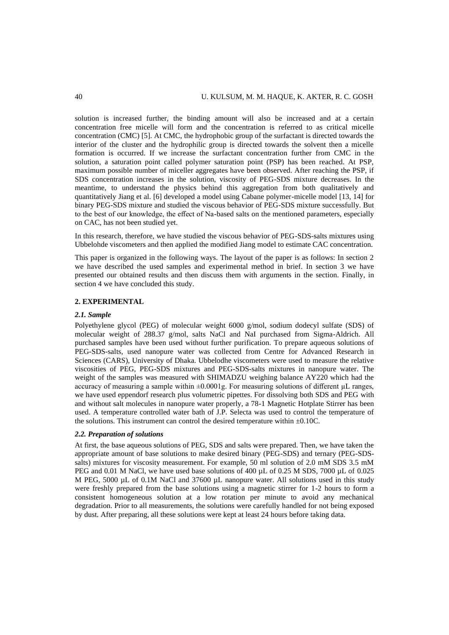solution is increased further, the binding amount will also be increased and at a certain concentration free micelle will form and the concentration is referred to as critical micelle concentration (CMC) [5]. At CMC, the hydrophobic group of the surfactant is directed towards the interior of the cluster and the hydrophilic group is directed towards the solvent then a micelle formation is occurred. If we increase the surfactant concentration further from CMC in the solution, a saturation point called polymer saturation point (PSP) has been reached. At PSP, maximum possible number of miceller aggregates have been observed. After reaching the PSP, if SDS concentration increases in the solution, viscosity of PEG-SDS mixture decreases. In the meantime, to understand the physics behind this aggregation from both qualitatively and quantitatively Jiang et al. [6] developed a model using Cabane polymer-micelle model [13, 14] for binary PEG-SDS mixture and studied the viscous behavior of PEG-SDS mixture successfully. But to the best of our knowledge, the effect of Na-based salts on the mentioned parameters, especially on CAC, has not been studied yet.

In this research, therefore, we have studied the viscous behavior of PEG-SDS-salts mixtures using Ubbelohde viscometers and then applied the modified Jiang model to estimate CAC concentration.

This paper is organized in the following ways. The layout of the paper is as follows: In section 2 we have described the used samples and experimental method in brief. In section 3 we have presented our obtained results and then discuss them with arguments in the section. Finally, in section 4 we have concluded this study.

## **2. EXPERIMENTAL**

### *2.1. Sample*

Polyethylene glycol (PEG) of molecular weight 6000 g/mol, sodium dodecyl sulfate (SDS) of molecular weight of 288.37 g/mol, salts NaCl and NaI purchased from Sigma-Aldrich. All purchased samples have been used without further purification. To prepare aqueous solutions of PEG-SDS-salts, used nanopure water was collected from Centre for Advanced Research in Sciences (CARS), University of Dhaka. Ubbelodhe viscometers were used to measure the relative viscosities of PEG, PEG-SDS mixtures and PEG-SDS-salts mixtures in nanopure water. The weight of the samples was measured with SHIMADZU weighing balance AY220 which had the accuracy of measuring a sample within  $\pm 0.0001$ g. For measuring solutions of different  $\mu$ L ranges, we have used eppendorf research plus volumetric pipettes. For dissolving both SDS and PEG with and without salt molecules in nanopure water properly, a 78-1 Magnetic Hotplate Stirrer has been used. A temperature controlled water bath of J.P. Selecta was used to control the temperature of the solutions. This instrument can control the desired temperature within  $\pm 0.10C$ .

# *2.2. Preparation of solutions*

At first, the base aqueous solutions of PEG, SDS and salts were prepared. Then, we have taken the appropriate amount of base solutions to make desired binary (PEG-SDS) and ternary (PEG-SDSsalts) mixtures for viscosity measurement. For example, 50 ml solution of 2.0 mM SDS 3.5 mM PEG and 0.01 M NaCl, we have used base solutions of 400 µL of 0.25 M SDS, 7000 µL of 0.025 M PEG, 5000 µL of 0.1M NaCl and 37600 µL nanopure water. All solutions used in this study were freshly prepared from the base solutions using a magnetic stirrer for 1-2 hours to form a consistent homogeneous solution at a low rotation per minute to avoid any mechanical degradation. Prior to all measurements, the solutions were carefully handled for not being exposed by dust. After preparing, all these solutions were kept at least 24 hours before taking data.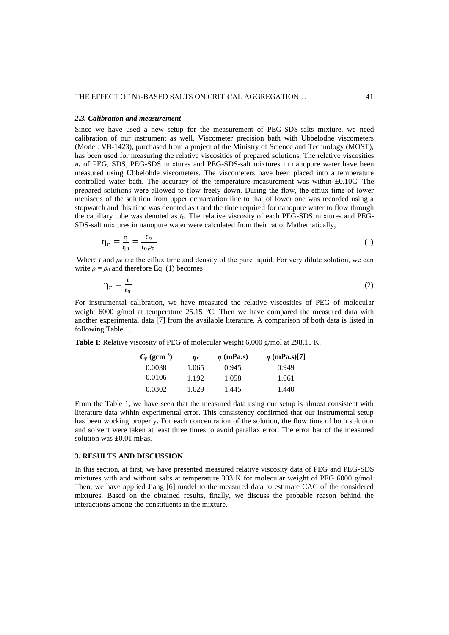### *2.3. Calibration and measurement*

Since we have used a new setup for the measurement of PEG-SDS-salts mixture, we need calibration of our instrument as well. Viscometer precision bath with Ubbelodhe viscometers (Model: VB-1423), purchased from a project of the Ministry of Science and Technology (MOST), has been used for measuring the relative viscosities of prepared solutions. The relative viscosities  $n_r$  of PEG, SDS, PEG-SDS mixtures and PEG-SDS-salt mixtures in nanopure water have been measured using Ubbelohde viscometers. The viscometers have been placed into a temperature controlled water bath. The accuracy of the temperature measurement was within  $\pm 0.10C$ . The prepared solutions were allowed to flow freely down. During the flow, the efflux time of lower meniscus of the solution from upper demarcation line to that of lower one was recorded using a stopwatch and this time was denoted as *t* and the time required for nanopure water to flow through the capillary tube was denoted as *t*0. The relative viscosity of each PEG-SDS mixtures and PEG-SDS-salt mixtures in nanopure water were calculated from their ratio. Mathematically,

$$
\eta_r = \frac{\eta}{\eta_0} = \frac{t_\rho}{t_0 \rho_0} \tag{1}
$$

Where *t* and  $\rho_0$  are the efflux time and density of the pure liquid. For very dilute solution, we can write  $\rho = \rho_0$  and therefore Eq. (1) becomes

$$
\eta_r = \frac{t}{t_0} \tag{2}
$$

For instrumental calibration, we have measured the relative viscosities of PEG of molecular weight 6000 g/mol at temperature 25.15 °C. Then we have compared the measured data with another experimental data [7] from the available literature. A comparison of both data is listed in following Table 1.

| $C_p$ (gcm <sup>3</sup> ) | $n_r$ | $\eta$ (mPa.s) | $\eta$ (mPa.s)[7] |
|---------------------------|-------|----------------|-------------------|
| 0.0038                    | 1.065 | 0.945          | 0.949             |
| 0.0106                    | 1.192 | 1.058          | 1.061             |
| 0.0302                    | 1.629 | 1.445          | 1.440             |

**Table 1**: Relative viscosity of PEG of molecular weight 6,000 g/mol at 298.15 K.

From the Table 1, we have seen that the measured data using our setup is almost consistent with literature data within experimental error. This consistency confirmed that our instrumental setup has been working properly. For each concentration of the solution, the flow time of both solution and solvent were taken at least three times to avoid parallax error. The error bar of the measured solution was ±0.01 mPas.

## **3. RESULTS AND DISCUSSION**

In this section, at first, we have presented measured relative viscosity data of PEG and PEG-SDS mixtures with and without salts at temperature 303 K for molecular weight of PEG 6000 g/mol. Then, we have applied Jiang [6] model to the measured data to estimate CAC of the considered mixtures. Based on the obtained results, finally, we discuss the probable reason behind the interactions among the constituents in the mixture.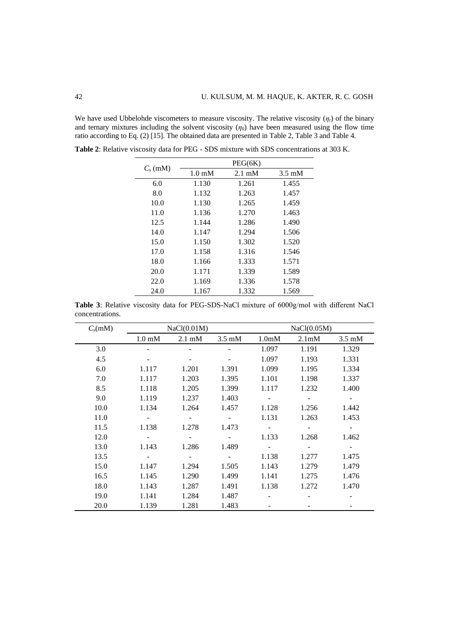We have used Ubbelohde viscometers to measure viscosity. The relative viscosity (*η*r) of the binary and ternary mixtures including the solvent viscosity  $(\eta_0)$  have been measured using the flow time ratio according to Eq. (2) [15]. The obtained data are presented in Table 2, Table 3 and Table 4.

|            |                  | PEG(6K)          |        |
|------------|------------------|------------------|--------|
| $C_s$ (mM) | $1.0 \text{ mM}$ | $2.1 \text{ mM}$ | 3.5 mM |
| 6.0        | 1.130            | 1.261            | 1.455  |
| 8.0        | 1.132            | 1.263            | 1.457  |
| 10.0       | 1.130            | 1.265            | 1.459  |
| 11.0       | 1.136            | 1.270            | 1.463  |
| 12.5       | 1.144            | 1.286            | 1.490  |
| 14.0       | 1.147            | 1.294            | 1.506  |
| 15.0       | 1.150            | 1.302            | 1.520  |
| 17.0       | 1.158            | 1.316            | 1.546  |
| 18.0       | 1.166            | 1.333            | 1.571  |
| 20.0       | 1.171            | 1.339            | 1.589  |
| 22.0       | 1.169            | 1.336            | 1.578  |
| 24.0       | 1.167            | 1.332            | 1.569  |

**Table 2**: Relative viscosity data for PEG - SDS mixture with SDS concentrations at 303 K.

**Table 3**: Relative viscosity data for PEG-SDS-NaCl mixture of 6000g/mol with different NaCl concentrations.

| $C_s(mM)$ | NaCl(0.01M)      |                  |                  | NaCl(0.05M)        |                          |                  |  |
|-----------|------------------|------------------|------------------|--------------------|--------------------------|------------------|--|
|           | $1.0 \text{ mM}$ | $2.1 \text{ mM}$ | $3.5 \text{ mM}$ | 1.0 <sub>m</sub> M | 2.1 <sub>m</sub> M       | $3.5 \text{ mM}$ |  |
| 3.0       |                  |                  |                  | 1.097              | 1.191                    | 1.329            |  |
| 4.5       |                  |                  |                  | 1.097              | 1.193                    | 1.331            |  |
| 6.0       | 1.117            | 1.201            | 1.391            | 1.099              | 1.195                    | 1.334            |  |
| 7.0       | 1.117            | 1.203            | 1.395            | 1.101              | 1.198                    | 1.337            |  |
| 8.5       | 1.118            | 1.205            | 1.399            | 1.117              | 1.232                    | 1.400            |  |
| 9.0       | 1.119            | 1.237            | 1.403            | $\blacksquare$     | $\overline{\phantom{a}}$ |                  |  |
| 10.0      | 1.134            | 1.264            | 1.457            | 1.128              | 1.256                    | 1.442            |  |
| 11.0      |                  |                  |                  | 1.131              | 1.263                    | 1.453            |  |
| 11.5      | 1.138            | 1.278            | 1.473            |                    |                          |                  |  |
| 12.0      |                  |                  |                  | 1.133              | 1.268                    | 1.462            |  |
| 13.0      | 1.143            | 1.286            | 1.489            |                    |                          |                  |  |
| 13.5      |                  |                  |                  | 1.138              | 1.277                    | 1.475            |  |
| 15.0      | 1.147            | 1.294            | 1.505            | 1.143              | 1.279                    | 1.479            |  |
| 16.5      | 1.145            | 1.290            | 1.499            | 1.141              | 1.275                    | 1.476            |  |
| 18.0      | 1.143            | 1.287            | 1.491            | 1.138              | 1.272                    | 1.470            |  |
| 19.0      | 1.141            | 1.284            | 1.487            |                    |                          |                  |  |
| 20.0      | 1.139            | 1.281            | 1.483            |                    |                          |                  |  |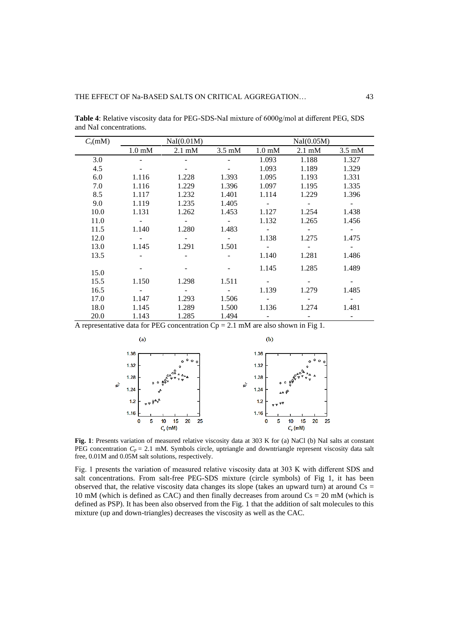| $C_s(mM)$ | NaI(0.01M)       |                  |                  | NaI(0.05M)       |                  |                  |  |
|-----------|------------------|------------------|------------------|------------------|------------------|------------------|--|
|           | $1.0 \text{ mM}$ | $2.1 \text{ mM}$ | $3.5 \text{ mM}$ | $1.0 \text{ mM}$ | $2.1 \text{ mM}$ | $3.5 \text{ mM}$ |  |
| 3.0       |                  |                  |                  | 1.093            | 1.188            | 1.327            |  |
| 4.5       |                  |                  |                  | 1.093            | 1.189            | 1.329            |  |
| 6.0       | 1.116            | 1.228            | 1.393            | 1.095            | 1.193            | 1.331            |  |
| 7.0       | 1.116            | 1.229            | 1.396            | 1.097            | 1.195            | 1.335            |  |
| 8.5       | 1.117            | 1.232            | 1.401            | 1.114            | 1.229            | 1.396            |  |
| 9.0       | 1.119            | 1.235            | 1.405            | $\sim$           | $\sim$ $-$       |                  |  |
| 10.0      | 1.131            | 1.262            | 1.453            | 1.127            | 1.254            | 1.438            |  |
| 11.0      |                  |                  | $\sim$           | 1.132            | 1.265            | 1.456            |  |
| 11.5      | 1.140            | 1.280            | 1.483            | $\equiv$         | $\sim$           |                  |  |
| 12.0      |                  |                  | $\sim$           | 1.138            | 1.275            | 1.475            |  |
| 13.0      | 1.145            | 1.291            | 1.501            | $\omega$         |                  |                  |  |
| 13.5      |                  |                  |                  | 1.140            | 1.281            | 1.486            |  |
|           |                  |                  |                  | 1.145            | 1.285            | 1.489            |  |
| 15.0      |                  |                  |                  |                  |                  |                  |  |
| 15.5      | 1.150            | 1.298            | 1.511            |                  |                  |                  |  |
| 16.5      |                  |                  |                  | 1.139            | 1.279            | 1.485            |  |
| 17.0      | 1.147            | 1.293            | 1.506            |                  |                  |                  |  |
| 18.0      | 1.145            | 1.289            | 1.500            | 1.136            | 1.274            | 1.481            |  |
| 20.0      | 1.143            | 1.285            | 1.494            |                  |                  |                  |  |

**Table 4**: Relative viscosity data for PEG-SDS-NaI mixture of 6000g/mol at different PEG, SDS and NaI concentrations.

A representative data for PEG concentration  $Cp = 2.1$  mM are also shown in Fig 1.



**Fig. 1**: Presents variation of measured relative viscosity data at 303 K for (a) NaCl (b) NaI salts at constant PEG concentration  $C_p = 2.1$  mM. Symbols circle, uptriangle and downtriangle represent viscosity data salt free, 0.01M and 0.05M salt solutions, respectively.

Fig. 1 presents the variation of measured relative viscosity data at 303 K with different SDS and salt concentrations. From salt-free PEG-SDS mixture (circle symbols) of Fig 1, it has been observed that, the relative viscosity data changes its slope (takes an upward turn) at around  $Cs =$ 10 mM (which is defined as CAC) and then finally decreases from around  $Cs = 20$  mM (which is defined as PSP). It has been also observed from the Fig. 1 that the addition of salt molecules to this mixture (up and down-triangles) decreases the viscosity as well as the CAC.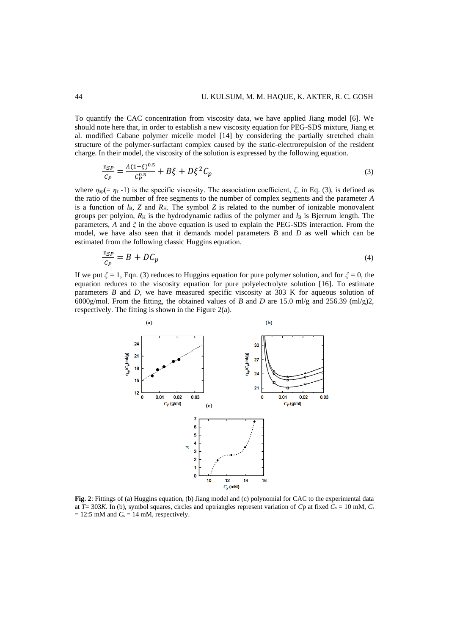To quantify the CAC concentration from viscosity data, we have applied Jiang model [6]. We should note here that, in order to establish a new viscosity equation for PEG-SDS mixture, Jiang et al. modified Cabane polymer micelle model [14] by considering the partially stretched chain structure of the polymer-surfactant complex caused by the static-electrorepulsion of the resident charge. In their model, the viscosity of the solution is expressed by the following equation.

$$
\frac{n_{SP}}{c_P} = \frac{A(1-\xi)^{0.5}}{c_P^{0.5}} + B\xi + D\xi^2 C_p
$$
\n(3)

where  $\eta_{sp}=(\eta_r -1)$  is the specific viscosity. The association coefficient,  $\xi$ , in Eq. (3), is defined as the ratio of the number of free segments to the number of complex segments and the parameter *A* is a function of  $l_B$ , *Z* and  $R_H$ . The symbol *Z* is related to the number of ionizable monovalent groups per polyion,  $R_H$  is the hydrodynamic radius of the polymer and  $l_B$  is Bjerrum length. The parameters, *A* and *ξ* in the above equation is used to explain the PEG-SDS interaction. From the model, we have also seen that it demands model parameters *B* and *D* as well which can be estimated from the following classic Huggins equation.

$$
\frac{n_{SP}}{c_P} = B + DC_p \tag{4}
$$

If we put *ξ* = 1, Eqn. (3) reduces to Huggins equation for pure polymer solution, and for *ξ* = 0, the equation reduces to the viscosity equation for pure polyelectrolyte solution [16]. To estimate parameters *B* and *D*, we have measured specific viscosity at 303 K for aqueous solution of 6000g/mol. From the fitting, the obtained values of *B* and *D* are 15.0 ml/g and 256.39 (ml/g)2, respectively. The fitting is shown in the Figure 2(a).



**Fig. 2**: Fittings of (a) Huggins equation, (b) Jiang model and (c) polynomial for CAC to the experimental data at  $\overline{T}$  = 303*K*. In (b), symbol squares, circles and uptriangles represent variation of *C*p at fixed  $\overline{C_s}$  = 10 mM,  $\overline{C_s}$  $= 12:5$  mM and  $C_s = 14$  mM, respectively.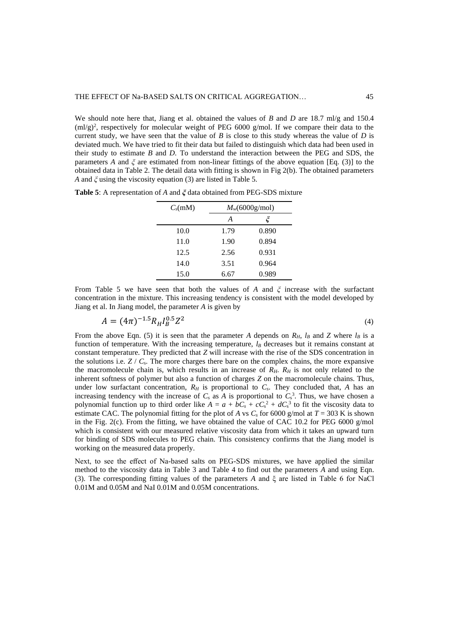We should note here that, Jiang et al. obtained the values of *B* and *D* are 18.7 ml/g and 150.4  $(m\log)^2$ , respectively for molecular weight of PEG 6000 g/mol. If we compare their data to the current study, we have seen that the value of *B* is close to this study whereas the value of *D* is deviated much. We have tried to fit their data but failed to distinguish which data had been used in their study to estimate *B* and *D*. To understand the interaction between the PEG and SDS, the parameters *A* and *ξ* are estimated from non-linear fittings of the above equation [Eq. (3)] to the obtained data in Table 2. The detail data with fitting is shown in Fig 2(b). The obtained parameters *A* and *ξ* using the viscosity equation (3) are listed in Table 5.

**Table 5**: A representation of *A* and *ξ* data obtained from PEG-SDS mixture

| $C_s(mM)$ | $M_w(6000g/mol)$ |       |  |  |  |
|-----------|------------------|-------|--|--|--|
|           | A                | ζ     |  |  |  |
| 10.0      | 1.79             | 0.890 |  |  |  |
| 11.0      | 1.90             | 0.894 |  |  |  |
| 12.5      | 2.56             | 0.931 |  |  |  |
| 14.0      | 3.51             | 0.964 |  |  |  |
| 15.0      | 6.67             | 0.989 |  |  |  |

From Table 5 we have seen that both the values of *A* and *ξ* increase with the surfactant concentration in the mixture. This increasing tendency is consistent with the model developed by Jiang et al. In Jiang model, the parameter *A* is given by

$$
A = (4\pi)^{-1.5} R_H I_B^{0.5} Z^2
$$
\n<sup>(4)</sup>

From the above Eqn. (5) it is seen that the parameter *A* depends on  $R$ <sup>*H*</sup>, *l<sub>B</sub>* and *Z* where *l<sub>B</sub>* is a function of temperature. With the increasing temperature, *l<sup>B</sup>* decreases but it remains constant at constant temperature. They predicted that *Z* will increase with the rise of the SDS concentration in the solutions i.e.  $Z / C_s$ . The more charges there bare on the complex chains, the more expansive the macromolecule chain is, which results in an increase of  $R_H$ .  $R_H$  is not only related to the inherent softness of polymer but also a function of charges *Z* on the macromolecule chains. Thus, under low surfactant concentration,  $R_H$  is proportional to  $C_s$ . They concluded that,  $A$  has an increasing tendency with the increase of  $C_s$  as A is proportional to  $C_s^3$ . Thus, we have chosen a polynomial function up to third order like  $A = a + bC_s + cC_s^2 + dC_s^3$  to fit the viscosity data to estimate CAC. The polynomial fitting for the plot of *A* vs  $C_s$  for 6000 g/mol at  $T = 303$  K is shown in the Fig. 2(c). From the fitting, we have obtained the value of CAC 10.2 for PEG 6000 g/mol which is consistent with our measured relative viscosity data from which it takes an upward turn for binding of SDS molecules to PEG chain. This consistency confirms that the Jiang model is working on the measured data properly.

Next, to see the effect of Na-based salts on PEG-SDS mixtures, we have applied the similar method to the viscosity data in Table 3 and Table 4 to find out the parameters *A* and using Eqn. (3). The corresponding fitting values of the parameters *A* and ξ are listed in Table 6 for NaCl 0.01M and 0.05M and NaI 0.01M and 0.05M concentrations.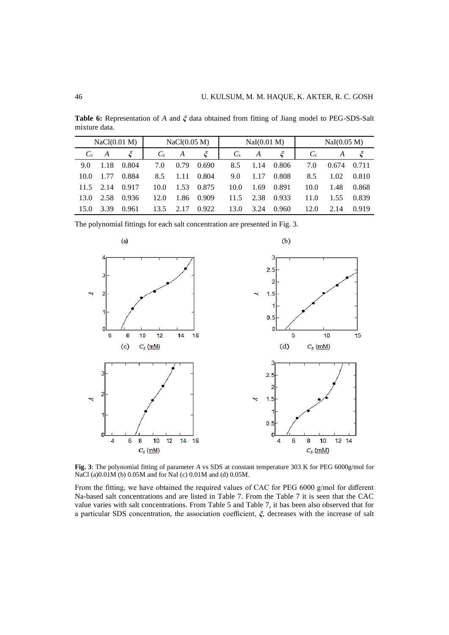**Table 6:** Representation of *A* and *ξ* data obtained from fitting of Jiang model to PEG-SDS-Salt mixture data.

|         | NaCl(0.01 M) |       |         |      | NaI(0.01 M)<br>NaCl(0.05 M) |         |      | NaI(0.05 M) |       |       |         |
|---------|--------------|-------|---------|------|-----------------------------|---------|------|-------------|-------|-------|---------|
| $C_{s}$ | A            |       | $C_{s}$ | A    | ζ                           | $C_{s}$ | A    | $\zeta$     | $C_s$ | A     | $\zeta$ |
| 9.0     | 1.18         | 0.804 | 7.0     | 0.79 | 0.690                       | 8.5     | 1.14 | 0.806       | 7.0   | 0.674 | 0.711   |
| 10.0    | 1.77         | 0.884 | 8.5     | 1.11 | 0.804                       | 9.0     | 1.17 | 0.808       | 8.5   | 1.02  | 0.810   |
| 11.5    | 2.14         | 0.917 | 10.0    | 1.53 | 0.875                       | 10.0    | 1.69 | 0.891       | 10.0  | 1.48  | 0.868   |
| 13.0    | 2.58         | 0.936 | 12.0    | 1.86 | 0.909                       | 11.5    | 2.38 | 0.933       | 11.0  | 1.55  | 0.839   |
| 15.0    | 3.39         | 0.961 | 13.5    | 2.17 | 0.922                       | 13.0    | 3.24 | 0.960       | 12.0  | 2.14  | 0.919   |

The polynomial fittings for each salt concentration are presented in Fig. 3.



**Fig. 3**: The polynomial fitting of parameter *A* vs SDS at constant temperature 303 K for PEG 6000g/mol for NaCl (a)0.01M (b) 0.05M and for NaI (c) 0.01M and (d) 0.05M.

From the fitting, we have obtained the required values of CAC for PEG 6000 g/mol for different Na-based salt concentrations and are listed in Table 7. From the Table 7 it is seen that the CAC value varies with salt concentrations. From Table 5 and Table 7, it has been also observed that for a particular SDS concentration, the association coefficient, *ξ*, decreases with the increase of salt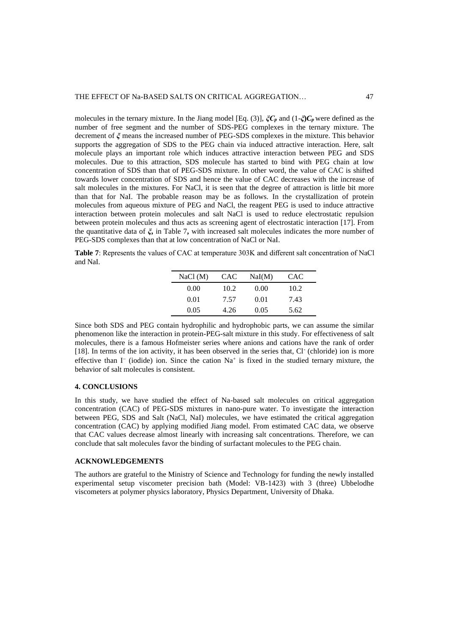molecules in the ternary mixture. In the Jiang model [Eq. (3)], *ξC<sup>p</sup>* and (1-*ξ***)***C<sup>p</sup>* were defined as the number of free segment and the number of SDS-PEG complexes in the ternary mixture. The decrement of *ξ* means the increased number of PEG-SDS complexes in the mixture. This behavior supports the aggregation of SDS to the PEG chain via induced attractive interaction. Here, salt molecule plays an important role which induces attractive interaction between PEG and SDS molecules. Due to this attraction, SDS molecule has started to bind with PEG chain at low concentration of SDS than that of PEG-SDS mixture. In other word, the value of CAC is shifted towards lower concentration of SDS and hence the value of CAC decreases with the increase of salt molecules in the mixtures. For NaCl, it is seen that the degree of attraction is little bit more than that for NaI. The probable reason may be as follows. In the crystallization of protein molecules from aqueous mixture of PEG and NaCl, the reagent PEG is used to induce attractive interaction between protein molecules and salt NaCl is used to reduce electrostatic repulsion between protein molecules and thus acts as screening agent of electrostatic interaction [17]. From the quantitative data of *ξ***,** in Table 7**,** with increased salt molecules indicates the more number of PEG-SDS complexes than that at low concentration of NaCl or NaI.

**Table 7**: Represents the values of CAC at temperature 303K and different salt concentration of NaCl and NaI.

| NaCl (M) | <b>CAC</b> | NaI(M) | CAC  |  |
|----------|------------|--------|------|--|
| 0.00     | 10.2       | 0.00   | 10.2 |  |
| 0.01     | 7.57       | 0.01   | 7.43 |  |
| 0.05     | 4.26       | 0.05   | 5.62 |  |

Since both SDS and PEG contain hydrophilic and hydrophobic parts, we can assume the similar phenomenon like the interaction in protein-PEG-salt mixture in this study. For effectiveness of salt molecules, there is a famous Hofmeister series where anions and cations have the rank of order [18]. In terms of the ion activity, it has been observed in the series that, Cl (chloride) ion is more effective than I<sup>-</sup> (iodide) ion. Since the cation Na<sup>+</sup> is fixed in the studied ternary mixture, the behavior of salt molecules is consistent.

## **4. CONCLUSIONS**

In this study, we have studied the effect of Na-based salt molecules on critical aggregation concentration (CAC) of PEG-SDS mixtures in nano-pure water. To investigate the interaction between PEG, SDS and Salt (NaCl, NaI) molecules, we have estimated the critical aggregation concentration (CAC) by applying modified Jiang model. From estimated CAC data, we observe that CAC values decrease almost linearly with increasing salt concentrations. Therefore, we can conclude that salt molecules favor the binding of surfactant molecules to the PEG chain.

## **ACKNOWLEDGEMENTS**

The authors are grateful to the Ministry of Science and Technology for funding the newly installed experimental setup viscometer precision bath (Model: VB-1423) with 3 (three) Ubbelodhe viscometers at polymer physics laboratory, Physics Department, University of Dhaka.